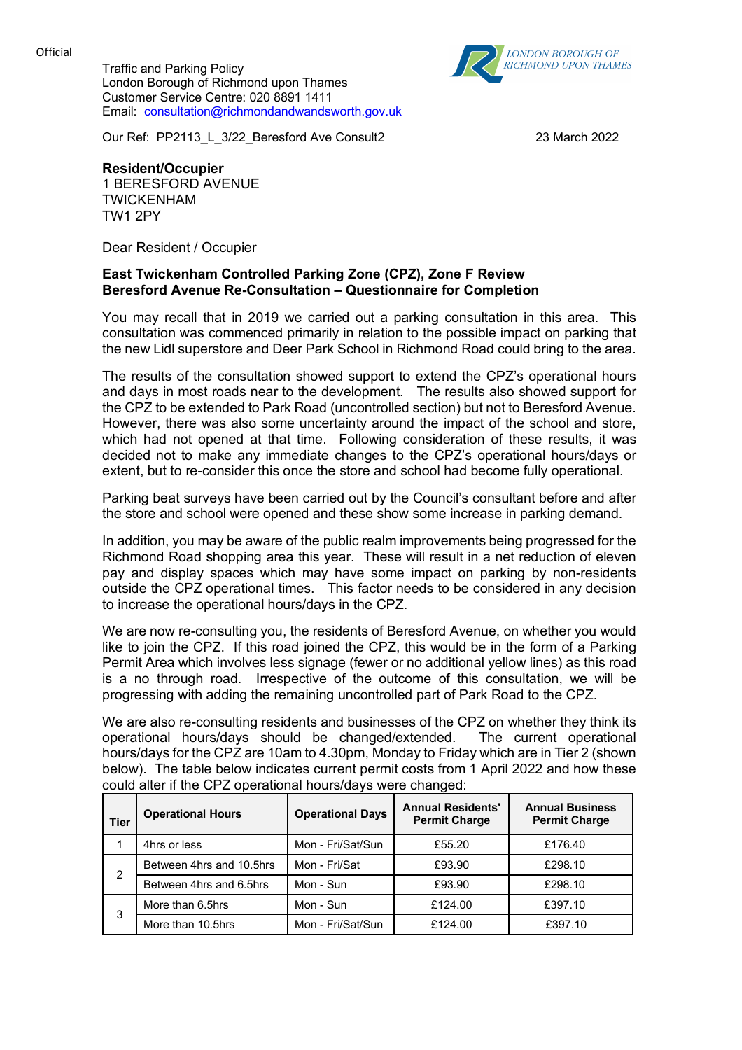**Official** 

Traffic and Parking Policy London Borough of Richmond upon Thames Customer Service Centre: 020 8891 1411 Email: consultation@richmondandwandsworth.gov.uk



Our Ref: PP2113\_L\_3/22\_Beresford Ave Consult2 23 March 2022

**Resident/Occupier**

1 BERESFORD AVENUE TWICKENHAM TW1 2PY

Dear Resident / Occupier

## **East Twickenham Controlled Parking Zone (CPZ), Zone F Review Beresford Avenue Re-Consultation – Questionnaire for Completion**

You may recall that in 2019 we carried out a parking consultation in this area. This consultation was commenced primarily in relation to the possible impact on parking that the new Lidl superstore and Deer Park School in Richmond Road could bring to the area.

The results of the consultation showed support to extend the CPZ's operational hours and days in most roads near to the development. The results also showed support for the CPZ to be extended to Park Road (uncontrolled section) but not to Beresford Avenue. However, there was also some uncertainty around the impact of the school and store, which had not opened at that time. Following consideration of these results, it was decided not to make any immediate changes to the CPZ's operational hours/days or extent, but to re-consider this once the store and school had become fully operational.

Parking beat surveys have been carried out by the Council's consultant before and after the store and school were opened and these show some increase in parking demand.

In addition, you may be aware of the public realm improvements being progressed for the Richmond Road shopping area this year. These will result in a net reduction of eleven pay and display spaces which may have some impact on parking by non-residents outside the CPZ operational times. This factor needs to be considered in any decision to increase the operational hours/days in the CPZ.

We are now re-consulting you, the residents of Beresford Avenue, on whether you would like to join the CPZ. If this road joined the CPZ, this would be in the form of a Parking Permit Area which involves less signage (fewer or no additional yellow lines) as this road is a no through road. Irrespective of the outcome of this consultation, we will be progressing with adding the remaining uncontrolled part of Park Road to the CPZ.

We are also re-consulting residents and businesses of the CPZ on whether they think its operational hours/days should be changed/extended. The current operational hours/days for the CPZ are 10am to 4.30pm, Monday to Friday which are in Tier 2 (shown below). The table below indicates current permit costs from 1 April 2022 and how these could alter if the CPZ operational hours/days were changed:

| <b>Tier</b> | <b>Operational Hours</b> | <b>Operational Days</b> | <b>Annual Residents'</b><br><b>Permit Charge</b> | <b>Annual Business</b><br><b>Permit Charge</b> |
|-------------|--------------------------|-------------------------|--------------------------------------------------|------------------------------------------------|
|             | 4hrs or less             | Mon - Fri/Sat/Sun       | £55.20                                           | £176.40                                        |
| 2           | Between 4hrs and 10.5hrs | Mon - Fri/Sat           | £93.90                                           | £298.10                                        |
|             | Between 4hrs and 6.5hrs  | Mon - Sun               | £93.90                                           | £298.10                                        |
| 3           | More than 6.5hrs         | Mon - Sun               | £124.00                                          | £397.10                                        |
|             | More than 10.5hrs        | Mon - Fri/Sat/Sun       | £124.00                                          | £397.10                                        |